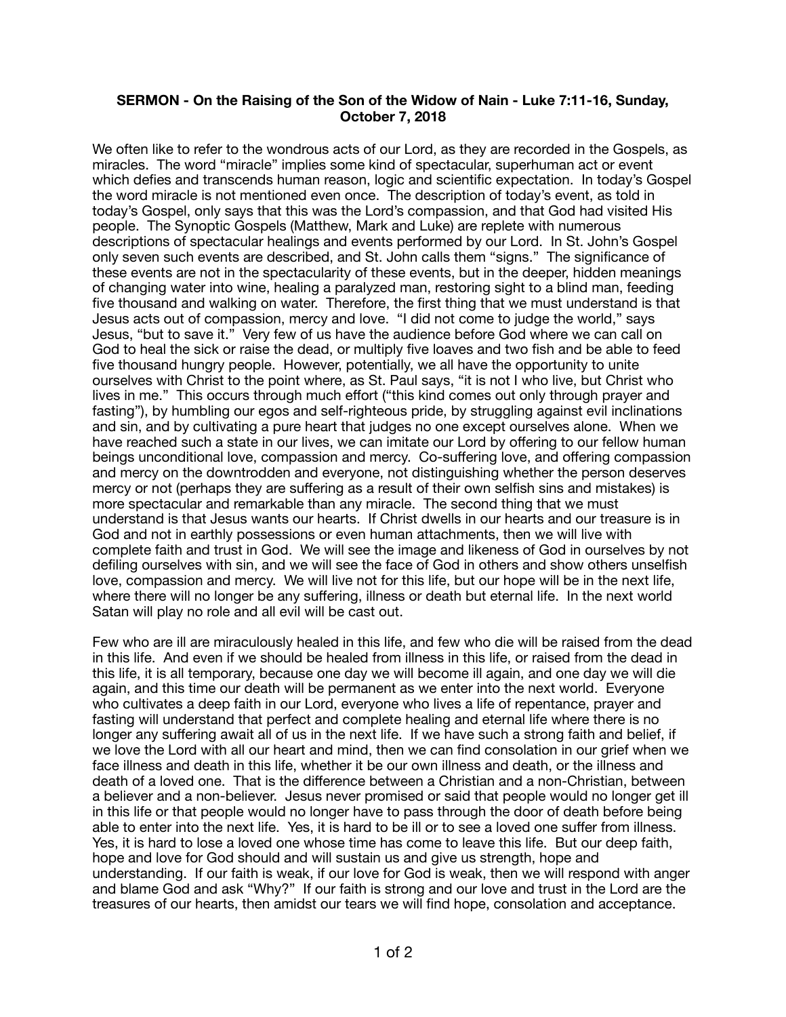## **SERMON - On the Raising of the Son of the Widow of Nain - Luke 7:11-16, Sunday, October 7, 2018**

We often like to refer to the wondrous acts of our Lord, as they are recorded in the Gospels, as miracles. The word "miracle" implies some kind of spectacular, superhuman act or event which defies and transcends human reason, logic and scientific expectation. In today's Gospel the word miracle is not mentioned even once. The description of today's event, as told in today's Gospel, only says that this was the Lord's compassion, and that God had visited His people. The Synoptic Gospels (Matthew, Mark and Luke) are replete with numerous descriptions of spectacular healings and events performed by our Lord. In St. John's Gospel only seven such events are described, and St. John calls them "signs." The significance of these events are not in the spectacularity of these events, but in the deeper, hidden meanings of changing water into wine, healing a paralyzed man, restoring sight to a blind man, feeding five thousand and walking on water. Therefore, the first thing that we must understand is that Jesus acts out of compassion, mercy and love. "I did not come to judge the world," says Jesus, "but to save it." Very few of us have the audience before God where we can call on God to heal the sick or raise the dead, or multiply five loaves and two fish and be able to feed five thousand hungry people. However, potentially, we all have the opportunity to unite ourselves with Christ to the point where, as St. Paul says, "it is not I who live, but Christ who lives in me." This occurs through much effort ("this kind comes out only through prayer and fasting"), by humbling our egos and self-righteous pride, by struggling against evil inclinations and sin, and by cultivating a pure heart that judges no one except ourselves alone. When we have reached such a state in our lives, we can imitate our Lord by offering to our fellow human beings unconditional love, compassion and mercy. Co-suffering love, and offering compassion and mercy on the downtrodden and everyone, not distinguishing whether the person deserves mercy or not (perhaps they are suffering as a result of their own selfish sins and mistakes) is more spectacular and remarkable than any miracle. The second thing that we must understand is that Jesus wants our hearts. If Christ dwells in our hearts and our treasure is in God and not in earthly possessions or even human attachments, then we will live with complete faith and trust in God. We will see the image and likeness of God in ourselves by not defiling ourselves with sin, and we will see the face of God in others and show others unselfish love, compassion and mercy. We will live not for this life, but our hope will be in the next life, where there will no longer be any suffering, illness or death but eternal life. In the next world Satan will play no role and all evil will be cast out.

Few who are ill are miraculously healed in this life, and few who die will be raised from the dead in this life. And even if we should be healed from illness in this life, or raised from the dead in this life, it is all temporary, because one day we will become ill again, and one day we will die again, and this time our death will be permanent as we enter into the next world. Everyone who cultivates a deep faith in our Lord, everyone who lives a life of repentance, prayer and fasting will understand that perfect and complete healing and eternal life where there is no longer any suffering await all of us in the next life. If we have such a strong faith and belief, if we love the Lord with all our heart and mind, then we can find consolation in our grief when we face illness and death in this life, whether it be our own illness and death, or the illness and death of a loved one. That is the difference between a Christian and a non-Christian, between a believer and a non-believer. Jesus never promised or said that people would no longer get ill in this life or that people would no longer have to pass through the door of death before being able to enter into the next life. Yes, it is hard to be ill or to see a loved one suffer from illness. Yes, it is hard to lose a loved one whose time has come to leave this life. But our deep faith, hope and love for God should and will sustain us and give us strength, hope and understanding. If our faith is weak, if our love for God is weak, then we will respond with anger and blame God and ask "Why?" If our faith is strong and our love and trust in the Lord are the treasures of our hearts, then amidst our tears we will find hope, consolation and acceptance.